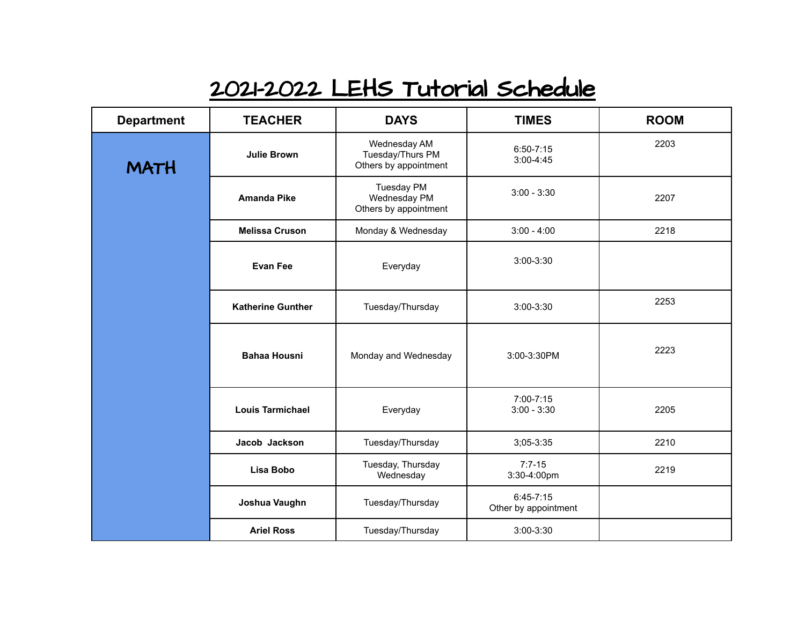## 2021-2022 LEHS Tutorial Schedule

| <b>Department</b> | <b>TEACHER</b>           | <b>DAYS</b>                                                | <b>TIMES</b>                          | <b>ROOM</b> |
|-------------------|--------------------------|------------------------------------------------------------|---------------------------------------|-------------|
| <b>MATH</b>       | <b>Julie Brown</b>       | Wednesday AM<br>Tuesday/Thurs PM<br>Others by appointment  | $6:50 - 7:15$<br>$3:00-4:45$          | 2203        |
|                   | <b>Amanda Pike</b>       | <b>Tuesday PM</b><br>Wednesday PM<br>Others by appointment | $3:00 - 3:30$                         | 2207        |
|                   | <b>Melissa Cruson</b>    | Monday & Wednesday                                         | $3:00 - 4:00$                         | 2218        |
|                   | <b>Evan Fee</b>          | Everyday                                                   | 3:00-3:30                             |             |
|                   | <b>Katherine Gunther</b> | Tuesday/Thursday                                           | 3:00-3:30                             | 2253        |
|                   | <b>Bahaa Housni</b>      | Monday and Wednesday                                       | 3:00-3:30PM                           | 2223        |
|                   | <b>Louis Tarmichael</b>  | Everyday                                                   | 7:00-7:15<br>$3:00 - 3:30$            | 2205        |
|                   | Jacob Jackson            | Tuesday/Thursday                                           | 3;05-3:35                             | 2210        |
|                   | Lisa Bobo                | Tuesday, Thursday<br>Wednesday                             | $7:7-15$<br>3:30-4:00pm               | 2219        |
|                   | Joshua Vaughn            | Tuesday/Thursday                                           | $6:45 - 7:15$<br>Other by appointment |             |
|                   | <b>Ariel Ross</b>        | Tuesday/Thursday                                           | 3:00-3:30                             |             |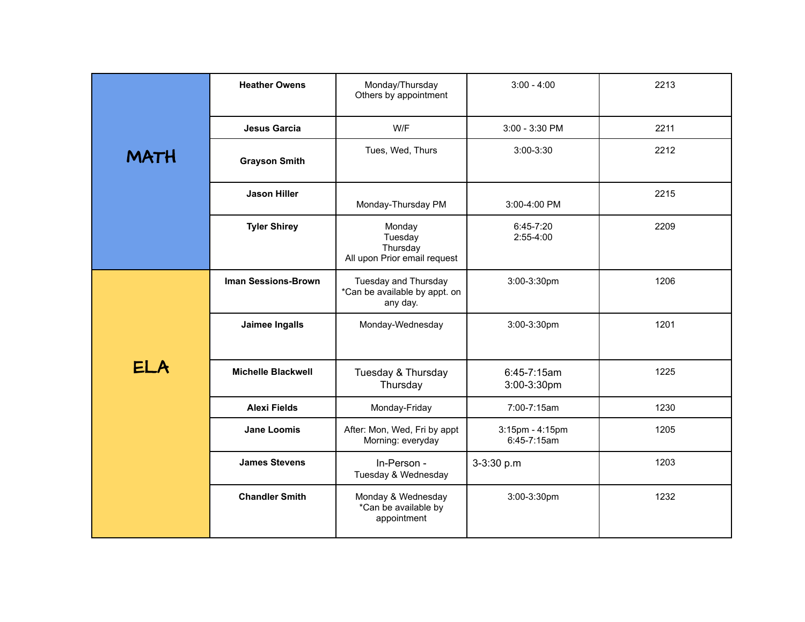|             | <b>Heather Owens</b>       | Monday/Thursday<br>Others by appointment                          | $3:00 - 4:00$                  | 2213 |
|-------------|----------------------------|-------------------------------------------------------------------|--------------------------------|------|
|             | Jesus Garcia               | W/F                                                               | 3:00 - 3:30 PM                 | 2211 |
| <b>MATH</b> | <b>Grayson Smith</b>       | Tues, Wed, Thurs                                                  | 3:00-3:30                      | 2212 |
|             | <b>Jason Hiller</b>        | Monday-Thursday PM                                                | 3:00-4:00 PM                   | 2215 |
|             | <b>Tyler Shirey</b>        | Monday<br>Tuesday<br>Thursday<br>All upon Prior email request     | 6:45-7:20<br>$2:55-4:00$       | 2209 |
|             | <b>Iman Sessions-Brown</b> | Tuesday and Thursday<br>*Can be available by appt. on<br>any day. | 3:00-3:30pm                    | 1206 |
|             | Jaimee Ingalls             | Monday-Wednesday                                                  | 3:00-3:30pm                    | 1201 |
| <b>ELA</b>  | <b>Michelle Blackwell</b>  | Tuesday & Thursday<br>Thursday                                    | 6:45-7:15am<br>3:00-3:30pm     | 1225 |
|             | <b>Alexi Fields</b>        | Monday-Friday                                                     | 7:00-7:15am                    | 1230 |
|             | <b>Jane Loomis</b>         | After: Mon, Wed, Fri by appt<br>Morning: everyday                 | 3:15pm - 4:15pm<br>6:45-7:15am | 1205 |
|             | <b>James Stevens</b>       | In-Person -<br>Tuesday & Wednesday                                | 3-3:30 p.m                     | 1203 |
|             | <b>Chandler Smith</b>      | Monday & Wednesday<br>*Can be available by<br>appointment         | 3:00-3:30pm                    | 1232 |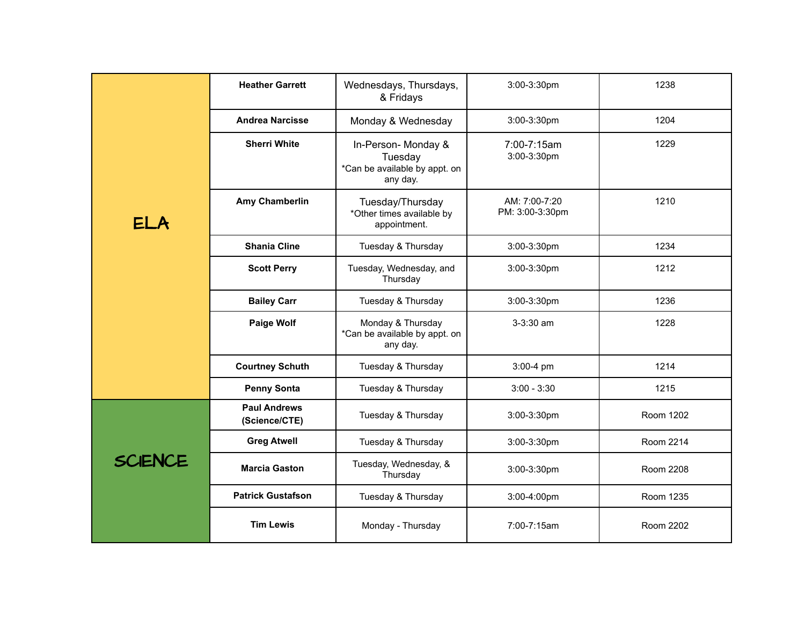|                | <b>Heather Garrett</b>               | Wednesdays, Thursdays,<br>& Fridays                                         | 3:00-3:30pm                      | 1238      |
|----------------|--------------------------------------|-----------------------------------------------------------------------------|----------------------------------|-----------|
|                | <b>Andrea Narcisse</b>               | Monday & Wednesday                                                          | 3:00-3:30pm                      | 1204      |
|                | <b>Sherri White</b>                  | In-Person- Monday &<br>Tuesday<br>*Can be available by appt. on<br>any day. | 7:00-7:15am<br>3:00-3:30pm       | 1229      |
| <b>ELA</b>     | Amy Chamberlin                       | Tuesday/Thursday<br>*Other times available by<br>appointment.               | AM: 7:00-7:20<br>PM: 3:00-3:30pm | 1210      |
|                | <b>Shania Cline</b>                  | Tuesday & Thursday                                                          | 3:00-3:30pm                      | 1234      |
|                | <b>Scott Perry</b>                   | Tuesday, Wednesday, and<br>Thursday                                         | 3:00-3:30pm                      | 1212      |
|                | <b>Bailey Carr</b>                   | Tuesday & Thursday                                                          | 3:00-3:30pm                      | 1236      |
|                | <b>Paige Wolf</b>                    | Monday & Thursday<br>*Can be available by appt. on<br>any day.              | $3-3:30$ am                      | 1228      |
|                | <b>Courtney Schuth</b>               | Tuesday & Thursday                                                          | 3:00-4 pm                        | 1214      |
|                | <b>Penny Sonta</b>                   | Tuesday & Thursday                                                          | $3:00 - 3:30$                    | 1215      |
|                | <b>Paul Andrews</b><br>(Science/CTE) | Tuesday & Thursday                                                          | 3:00-3:30pm                      | Room 1202 |
|                | <b>Greg Atwell</b>                   | Tuesday & Thursday                                                          | $3:00-3:30$ pm                   | Room 2214 |
| <b>SCIENCE</b> | <b>Marcia Gaston</b>                 | Tuesday, Wednesday, &<br>Thursday                                           | 3:00-3:30pm                      | Room 2208 |
|                | <b>Patrick Gustafson</b>             | Tuesday & Thursday                                                          | 3:00-4:00pm                      | Room 1235 |
|                | <b>Tim Lewis</b>                     | Monday - Thursday                                                           | 7:00-7:15am                      | Room 2202 |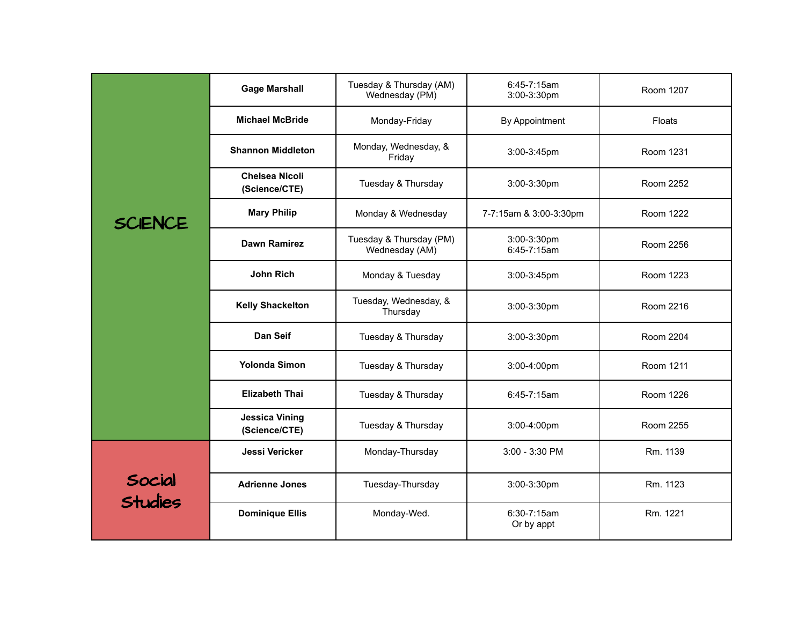|                   | <b>Gage Marshall</b>                   | Tuesday & Thursday (AM)<br>Wednesday (PM) | 6:45-7:15am<br>3:00-3:30pm | Room 1207 |
|-------------------|----------------------------------------|-------------------------------------------|----------------------------|-----------|
|                   | <b>Michael McBride</b>                 | Monday-Friday                             | By Appointment             | Floats    |
|                   | <b>Shannon Middleton</b>               | Monday, Wednesday, &<br>Friday            | 3:00-3:45pm                | Room 1231 |
|                   | <b>Chelsea Nicoli</b><br>(Science/CTE) | Tuesday & Thursday                        | 3:00-3:30pm                | Room 2252 |
| <b>SCIENCE</b>    | <b>Mary Philip</b>                     | Monday & Wednesday                        | 7-7:15am & 3:00-3:30pm     | Room 1222 |
|                   | <b>Dawn Ramirez</b>                    | Tuesday & Thursday (PM)<br>Wednesday (AM) | 3:00-3:30pm<br>6:45-7:15am | Room 2256 |
|                   | <b>John Rich</b>                       | Monday & Tuesday                          | $3:00-3:45$ pm             | Room 1223 |
|                   | <b>Kelly Shackelton</b>                | Tuesday, Wednesday, &<br>Thursday         | 3:00-3:30pm                | Room 2216 |
|                   | Dan Seif                               | Tuesday & Thursday                        | 3:00-3:30pm                | Room 2204 |
|                   | <b>Yolonda Simon</b>                   | Tuesday & Thursday                        | 3:00-4:00pm                | Room 1211 |
|                   | <b>Elizabeth Thai</b>                  | Tuesday & Thursday                        | 6:45-7:15am                | Room 1226 |
|                   | <b>Jessica Vining</b><br>(Science/CTE) | Tuesday & Thursday                        | 3:00-4:00pm                | Room 2255 |
|                   | Jessi Vericker                         | Monday-Thursday                           | 3:00 - 3:30 PM             | Rm. 1139  |
| Social<br>Studies | <b>Adrienne Jones</b>                  | Tuesday-Thursday                          | 3:00-3:30pm                | Rm. 1123  |
|                   | <b>Dominique Ellis</b>                 | Monday-Wed.                               | 6:30-7:15am<br>Or by appt  | Rm. 1221  |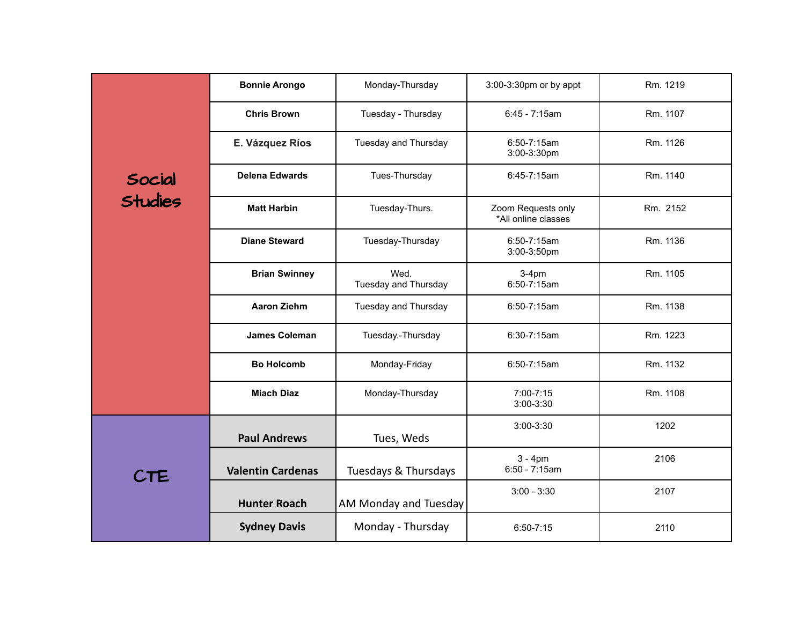|                   | <b>Bonnie Arongo</b>     | Monday-Thursday              | 3:00-3:30pm or by appt                    | Rm. 1219 |
|-------------------|--------------------------|------------------------------|-------------------------------------------|----------|
|                   | <b>Chris Brown</b>       | Tuesday - Thursday           | 6:45 - 7:15am                             | Rm. 1107 |
|                   | E. Vázquez Ríos          | Tuesday and Thursday         | 6:50-7:15am<br>3:00-3:30pm                | Rm. 1126 |
| Social<br>Studies | <b>Delena Edwards</b>    | Tues-Thursday                | 6:45-7:15am                               | Rm. 1140 |
|                   | <b>Matt Harbin</b>       | Tuesday-Thurs.               | Zoom Requests only<br>*All online classes | Rm. 2152 |
|                   | <b>Diane Steward</b>     | Tuesday-Thursday             | 6:50-7:15am<br>3:00-3:50pm                | Rm. 1136 |
|                   | <b>Brian Swinney</b>     | Wed.<br>Tuesday and Thursday | $3-4pm$<br>6:50-7:15am                    | Rm. 1105 |
|                   | <b>Aaron Ziehm</b>       | Tuesday and Thursday         | $6:50 - 7:15$ am                          | Rm. 1138 |
|                   | <b>James Coleman</b>     | Tuesday.-Thursday            | 6:30-7:15am                               | Rm. 1223 |
|                   | <b>Bo Holcomb</b>        | Monday-Friday                | 6:50-7:15am                               | Rm. 1132 |
|                   | <b>Miach Diaz</b>        | Monday-Thursday              | 7:00-7:15<br>3:00-3:30                    | Rm. 1108 |
|                   | <b>Paul Andrews</b>      | Tues, Weds                   | $3:00-3:30$                               | 1202     |
| <b>CTE</b>        | <b>Valentin Cardenas</b> | Tuesdays & Thursdays         | $3 - 4pm$<br>$6:50 - 7:15am$              | 2106     |
|                   | <b>Hunter Roach</b>      | AM Monday and Tuesday        | $3:00 - 3:30$                             | 2107     |
|                   | <b>Sydney Davis</b>      | Monday - Thursday            | $6:50 - 7:15$                             | 2110     |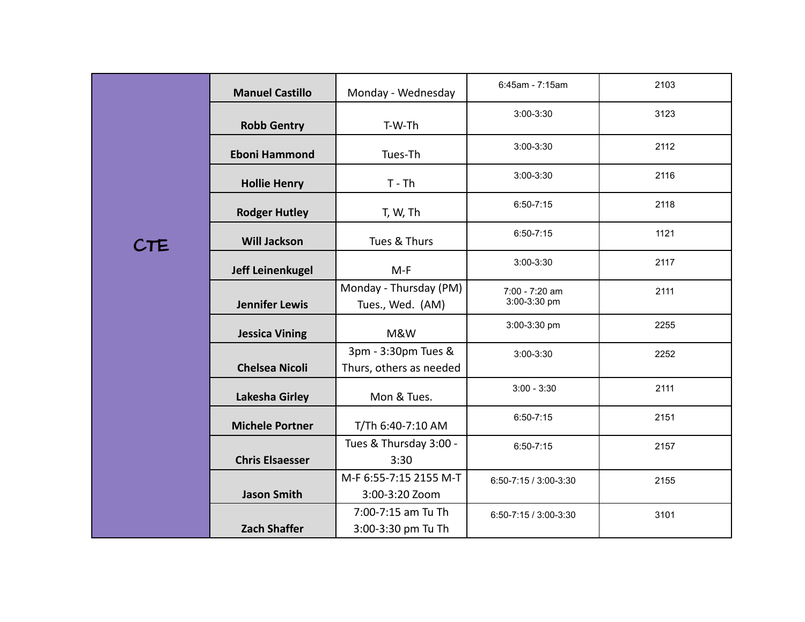|            | <b>Manuel Castillo</b>  | Monday - Wednesday                             | 6:45am - 7:15am                | 2103 |
|------------|-------------------------|------------------------------------------------|--------------------------------|------|
|            | <b>Robb Gentry</b>      | T-W-Th                                         | $3:00-3:30$                    | 3123 |
|            | <b>Eboni Hammond</b>    | Tues-Th                                        | $3:00-3:30$                    | 2112 |
|            | <b>Hollie Henry</b>     | $T - Th$                                       | $3:00 - 3:30$                  | 2116 |
|            | <b>Rodger Hutley</b>    | T, W, Th                                       | $6:50 - 7:15$                  | 2118 |
| <b>CTE</b> | <b>Will Jackson</b>     | Tues & Thurs                                   | $6:50 - 7:15$                  | 1121 |
|            | <b>Jeff Leinenkugel</b> | $M-F$                                          | $3:00 - 3:30$                  | 2117 |
|            | <b>Jennifer Lewis</b>   | Monday - Thursday (PM)<br>Tues., Wed. (AM)     | 7:00 - 7:20 am<br>3:00-3:30 pm | 2111 |
|            | <b>Jessica Vining</b>   | M&W                                            | 3:00-3:30 pm                   | 2255 |
|            | <b>Chelsea Nicoli</b>   | 3pm - 3:30pm Tues &<br>Thurs, others as needed | 3:00-3:30                      | 2252 |
|            | <b>Lakesha Girley</b>   | Mon & Tues.                                    | $3:00 - 3:30$                  | 2111 |
|            | <b>Michele Portner</b>  | T/Th 6:40-7:10 AM                              | $6:50 - 7:15$                  | 2151 |
|            | <b>Chris Elsaesser</b>  | Tues & Thursday 3:00 -<br>3:30                 | $6:50 - 7:15$                  | 2157 |
|            | <b>Jason Smith</b>      | M-F 6:55-7:15 2155 M-T<br>3:00-3:20 Zoom       | 6:50-7:15 / 3:00-3:30          | 2155 |
|            | <b>Zach Shaffer</b>     | 7:00-7:15 am Tu Th<br>3:00-3:30 pm Tu Th       | 6:50-7:15 / 3:00-3:30          | 3101 |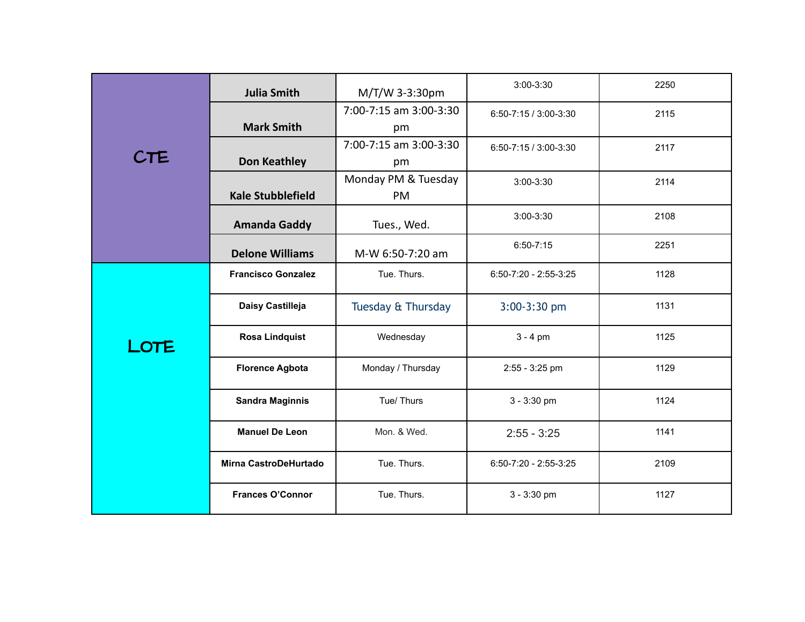|            | <b>Julia Smith</b>        | M/T/W 3-3:30pm         | $3:00-3:30$             | 2250 |
|------------|---------------------------|------------------------|-------------------------|------|
|            |                           | 7:00-7:15 am 3:00-3:30 | 6:50-7:15 / 3:00-3:30   | 2115 |
|            | <b>Mark Smith</b>         | pm                     |                         |      |
|            |                           | 7:00-7:15 am 3:00-3:30 | 6:50-7:15 / 3:00-3:30   | 2117 |
| <b>CTE</b> | <b>Don Keathley</b>       | pm                     |                         |      |
|            |                           | Monday PM & Tuesday    | 3:00-3:30               | 2114 |
|            | <b>Kale Stubblefield</b>  | PM                     |                         |      |
|            | <b>Amanda Gaddy</b>       | Tues., Wed.            | $3:00 - 3:30$           | 2108 |
|            | <b>Delone Williams</b>    | M-W 6:50-7:20 am       | $6:50 - 7:15$           | 2251 |
|            | <b>Francisco Gonzalez</b> | Tue. Thurs.            | $6:50-7:20 - 2:55-3:25$ | 1128 |
|            | Daisy Castilleja          | Tuesday & Thursday     | $3:00-3:30$ pm          | 1131 |
| LOTE       | <b>Rosa Lindquist</b>     | Wednesday              | $3 - 4$ pm              | 1125 |
|            | <b>Florence Agbota</b>    | Monday / Thursday      | 2:55 - 3:25 pm          | 1129 |
|            | <b>Sandra Maginnis</b>    | Tue/Thurs              | $3 - 3:30$ pm           | 1124 |
|            | <b>Manuel De Leon</b>     | Mon. & Wed.            | $2:55 - 3:25$           | 1141 |
|            | Mirna CastroDeHurtado     | Tue. Thurs.            | $6:50-7:20 - 2:55-3:25$ | 2109 |
|            | <b>Frances O'Connor</b>   | Tue. Thurs.            | 3 - 3:30 pm             | 1127 |